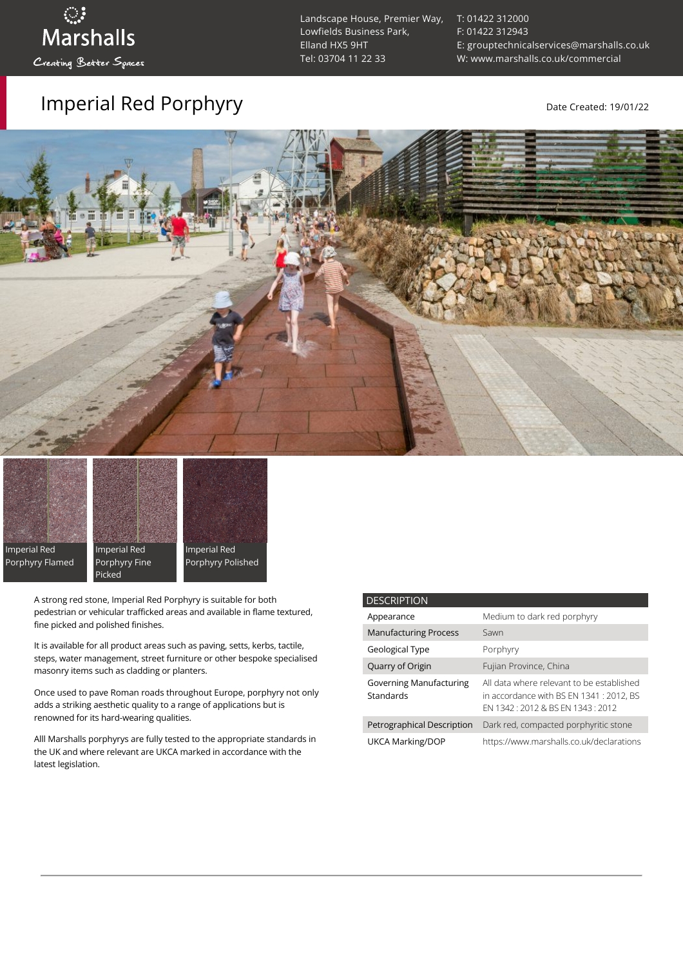# ुः<br>Marshalls Creating Better Spaces

### Imperial Red Porphyry and the Created: 19/01/22

Landscape House, Premier Way, Lowfields Business Park, Elland HX5 9HT [Tel: 03704 11 22 33](tel:03704112233)

[T: 01422 312000](tel:01422%20312000) [F: 01422 312943](tel:01422%20312943) [E: grouptechnicalservices@marshalls.co.uk](mailto:grouptechnicalservices@marshalls.co.uk) [W: www.marshalls.co.uk/commercial](https://www.marshalls.co.uk/commercial)





fine picked and polished finishes.



A strong red stone, Imperial Red Porphyry is suitable for both pedestrian or vehicular trafficked areas and available in flame textured,

It is available for all product areas such as paving, setts, kerbs, tactile, steps, water management, street furniture or other bespoke specialised masonry items such as cladding or planters.

Once used to pave Roman roads throughout Europe, porphyry not only adds a striking aesthetic quality to a range of applications but is renowned for its hard-wearing qualities.

Alll Marshalls porphyrys are fully tested to the appropriate standards in the UK and where relevant are UKCA marked in accordance with the latest legislation.

| <b>DESCRIPTION</b>                          |                                                                                                                           |
|---------------------------------------------|---------------------------------------------------------------------------------------------------------------------------|
| Appearance                                  | Medium to dark red porphyry                                                                                               |
| <b>Manufacturing Process</b>                | Sawn                                                                                                                      |
| Geological Type                             | Porphyry                                                                                                                  |
| Quarry of Origin                            | Fujian Province, China                                                                                                    |
| <b>Governing Manufacturing</b><br>Standards | All data where relevant to be established<br>in accordance with BS EN 1341 : 2012, BS<br>FN 1342 12012 & BS FN 1343 12012 |
| Petrographical Description                  | Dark red, compacted porphyritic stone                                                                                     |
| <b>UKCA Marking/DOP</b>                     | https://www.marshalls.co.uk/declarations                                                                                  |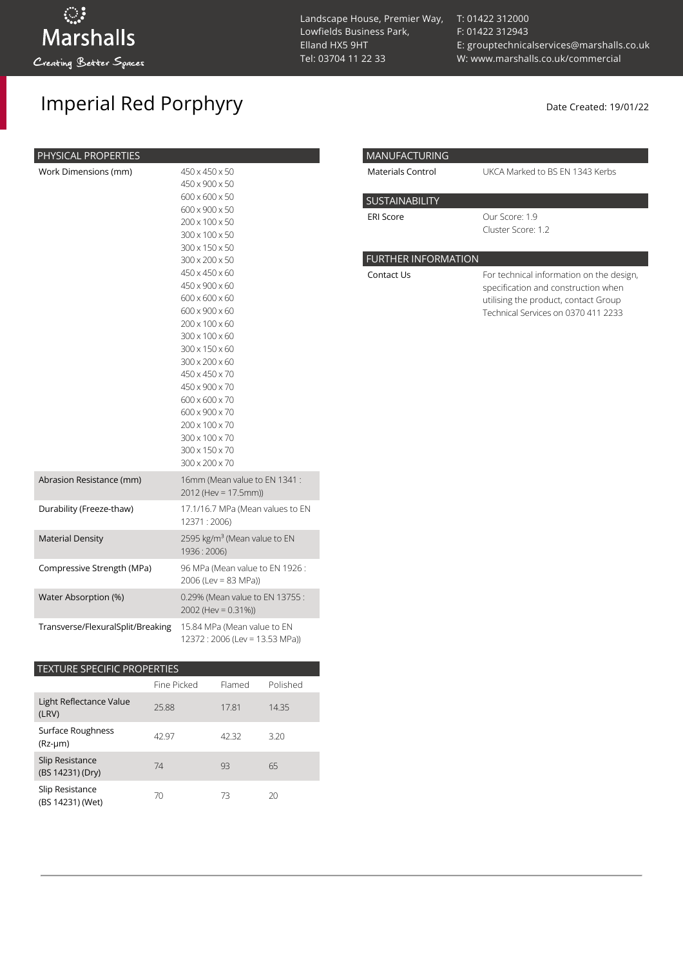## Imperial Red Porphyry and the Created: 19/01/22

| PHYSICAL PROPERTIES               |                                                                                                                                                                                                                                                                                                                                                                                                                                              |
|-----------------------------------|----------------------------------------------------------------------------------------------------------------------------------------------------------------------------------------------------------------------------------------------------------------------------------------------------------------------------------------------------------------------------------------------------------------------------------------------|
| Work Dimensions (mm)              | 450 x 450 x 50<br>450 x 900 x 50<br>600 x 600 x 50<br>600 x 900 x 50<br>200 x 100 x 50<br>300 x 100 x 50<br>300 x 150 x 50<br>300 x 200 x 50<br>450 x 450 x 60<br>450 x 900 x 60<br>600 x 600 x 60<br>600 x 900 x 60<br>200 x 100 x 60<br>300 x 100 x 60<br>300 x 150 x 60<br>300 x 200 x 60<br>450 x 450 x 70<br>450 x 900 x 70<br>600 x 600 x 70<br>600 x 900 x 70<br>200 x 100 x 70<br>300 x 100 x 70<br>300 x 150 x 70<br>300 x 200 x 70 |
| Abrasion Resistance (mm)          | 16mm (Mean value to EN 1341 :<br>2012 (Hev = 17.5mm))                                                                                                                                                                                                                                                                                                                                                                                        |
| Durability (Freeze-thaw)          | 17.1/16.7 MPa (Mean values to EN<br>12371:2006)                                                                                                                                                                                                                                                                                                                                                                                              |
| <b>Material Density</b>           | 2595 kg/m <sup>3</sup> (Mean value to EN<br>1936: 2006)                                                                                                                                                                                                                                                                                                                                                                                      |
| Compressive Strength (MPa)        | 96 MPa (Mean value to EN 1926:<br>$2006$ (Lev = 83 MPa))                                                                                                                                                                                                                                                                                                                                                                                     |
| Water Absorption (%)              | 0.29% (Mean value to EN 13755:<br>2002 (Hev = $0.31\%$ ))                                                                                                                                                                                                                                                                                                                                                                                    |
| Transverse/FlexuralSplit/Breaking | 15.84 MPa (Mean value to EN<br>12372: 2006 (Lev = 13.53 MPa))                                                                                                                                                                                                                                                                                                                                                                                |

### TEXTURE SPECIFIC PROPERTIES Fine Picked Flamed Polished Light Reflectance Value (LRV) 25.88 17.81 14.35 Surface Roughness (Rz-µm) 42.97 42.32 3.20 Slip Resistance (BS 14231) (Dry) 74 93 65 Slip Resistance (BS 14231) (Wet) 70 73 20

I

I

[T: 01422 312000](tel:01422%20312000) [F: 01422 312943](tel:01422%20312943) [E: grouptechnicalservices@marshalls.co.uk](mailto:grouptechnicalservices@marshalls.co.uk) [W: www.marshalls.co.uk/commercial](https://www.marshalls.co.uk/commercial)

| MANUFACTURING              |                                                                                                                                                                |
|----------------------------|----------------------------------------------------------------------------------------------------------------------------------------------------------------|
| Materials Control          | UKCA Marked to BS EN 1343 Kerbs                                                                                                                                |
| <b>SUSTAINABILITY</b>      |                                                                                                                                                                |
| <b>ERI Score</b>           | Our Score: 1.9<br>Cluster Score: 1.2                                                                                                                           |
| <b>FURTHER INFORMATION</b> |                                                                                                                                                                |
| Contact Us                 | For technical information on the design,<br>specification and construction when<br>utilising the product, contact Group<br>Technical Services on 0370 411 2233 |